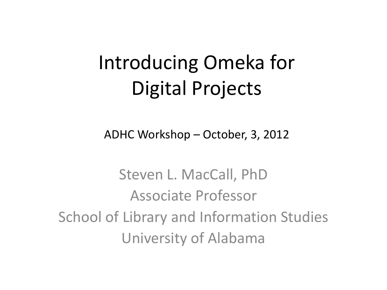### Introducing Omeka for Digital Projects

ADHC Workshop – October, 3, 2012

Steven L. MacCall, PhD Associate Professor School of Library and Information Studies University of Alabama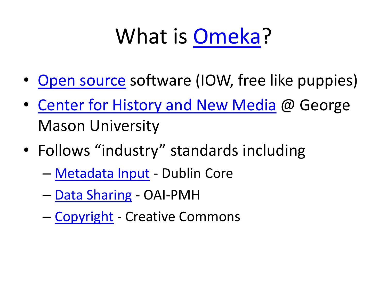# What is [Omeka?](http://omeka.org/)

- [Open source](http://omeka.org/get-involved/) software (IOW, free like puppies)
- [Center for History and New Media](http://chnm.gmu.edu/) @ George Mason University
- Follows "industry" standards including
	- [Metadata Input](http://omeka.org/blog/plugin_categories/metadata-input/) Dublin Core
	- [Data Sharing](http://omeka.org/blog/plugin_categories/data-sharing/) OAI-PMH
	- [Copyright](http://omeka.org/blog/plugin_categories/copyright/) Creative Commons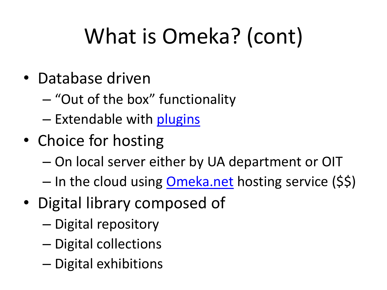# What is Omeka? (cont)

- Database driven
	- "Out of the box" functionality
	- Extendable with [plugins](http://omeka.org/add-ons/plugins/)
- Choice for hosting
	- On local server either by UA department or OIT
	- In the cloud using **[Omeka.net](http://omeka.net/)** hosting service (\$\$)
- Digital library composed of
	- Digital repository
	- Digital collections
	- Digital exhibitions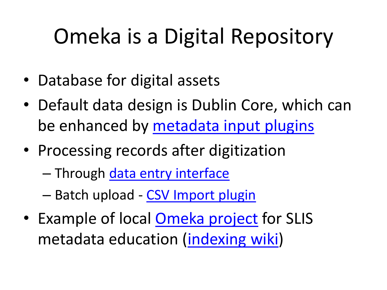# Omeka is a Digital Repository

- Database for digital assets
- Default data design is Dublin Core, which can be enhanced by [metadata input plugins](http://omeka.org/blog/plugin_categories/metadata-input/)
- Processing records after digitization
	- Through [data entry interface](http://omeka.slis.ua.edu/ls566-spring2012/football-images/admin/items/add)
	- Batch upload [CSV Import plugin](http://omeka.org/add-ons/plugins/csv-import/)
- Example of local **[Omeka project](http://omeka.slis.ua.edu/ls566-spring2012/football-images/)** for SLIS metadata education ([indexing wiki](https://uaslis-football-image-indexing-guidelines-2012.wikispaces.com/))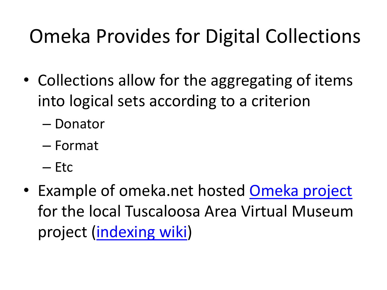### Omeka Provides for Digital Collections

- Collections allow for the aggregating of items into logical sets according to a criterion
	- Donator
	- Format
	- Etc
- Example of omeka.net hosted [Omeka project](https://tavm.omeka.net/) for the local Tuscaloosa Area Virtual Museum project [\(indexing wiki](http://tuscaloosaareavirtualmuseumindexingguidelines.wikispaces.com/home))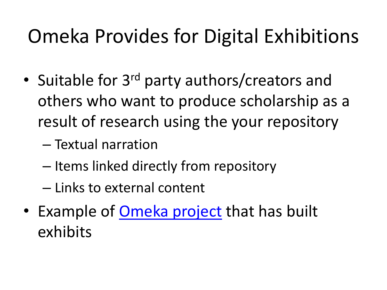### Omeka Provides for Digital Exhibitions

- Suitable for 3<sup>rd</sup> party authors/creators and others who want to produce scholarship as a result of research using the your repository
	- Textual narration
	- Items linked directly from repository
	- Links to external content
- Example of [Omeka project](http://gulaghistory.org/) that has built exhibits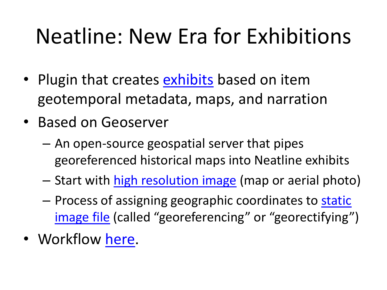### Neatline: New Era for Exhibitions

- Plugin that creates **exhibits** based on item geotemporal metadata, maps, and narration
- Based on Geoserver
	- An open-source geospatial server that pipes georeferenced historical maps into Neatline exhibits
	- Start with [high resolution image](http://memory.loc.gov/ammem/collections/maps/hotchkiss/index.html) (map or aerial photo)
	- Process of assigning geographic coordinates to static [image file](http://memory.loc.gov/cgi-bin/query/h?ammem/gmd:@field(NUMBER+@band(g3884f+cwh00124))) (called "georeferencing" or "georectifying")
- Workflow [here](http://neatline.org/plugins/neatline/).